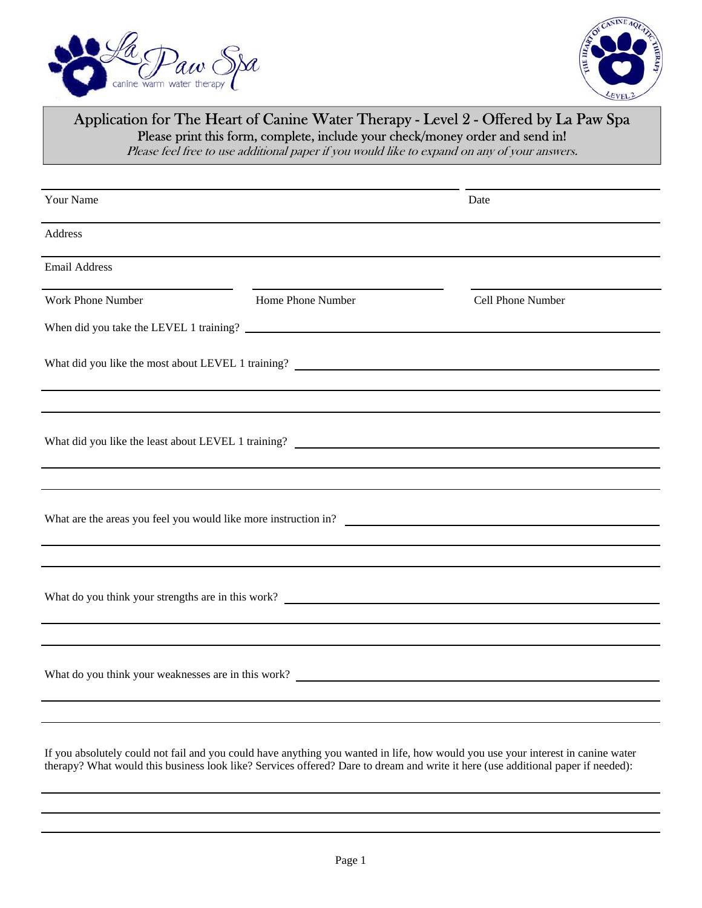



## Application for The Heart of Canine Water Therapy - Level 2 - Offered by La Paw Spa Please print this form, complete, include your check/money order and send in!

Please feel free to use additional paper if you would like to expand on any of your answers.

| Your Name                                                                                                                                                                                                                             |                   | Date              |  |  |
|---------------------------------------------------------------------------------------------------------------------------------------------------------------------------------------------------------------------------------------|-------------------|-------------------|--|--|
| Address                                                                                                                                                                                                                               |                   |                   |  |  |
| <b>Email Address</b>                                                                                                                                                                                                                  |                   |                   |  |  |
| Work Phone Number                                                                                                                                                                                                                     | Home Phone Number | Cell Phone Number |  |  |
|                                                                                                                                                                                                                                       |                   |                   |  |  |
|                                                                                                                                                                                                                                       |                   |                   |  |  |
|                                                                                                                                                                                                                                       |                   |                   |  |  |
| What did you like the least about LEVEL 1 training?<br><u> and</u> the state of the state of the state of the state of the state of the state of the state of the state of the state of the state of the state of the state of the st |                   |                   |  |  |
|                                                                                                                                                                                                                                       |                   |                   |  |  |
|                                                                                                                                                                                                                                       |                   |                   |  |  |
|                                                                                                                                                                                                                                       |                   |                   |  |  |
|                                                                                                                                                                                                                                       |                   |                   |  |  |
|                                                                                                                                                                                                                                       |                   |                   |  |  |
|                                                                                                                                                                                                                                       |                   |                   |  |  |
| What do you think your weaknesses are in this work?<br><u> and</u> the same of the same of the same of the same of the same of the same of the same of the same of the same of the same of the same of the same of the same of the sa |                   |                   |  |  |
|                                                                                                                                                                                                                                       |                   |                   |  |  |

If you absolutely could not fail and you could have anything you wanted in life, how would you use your interest in canine water therapy? What would this business look like? Services offered? Dare to dream and write it here (use additional paper if needed):